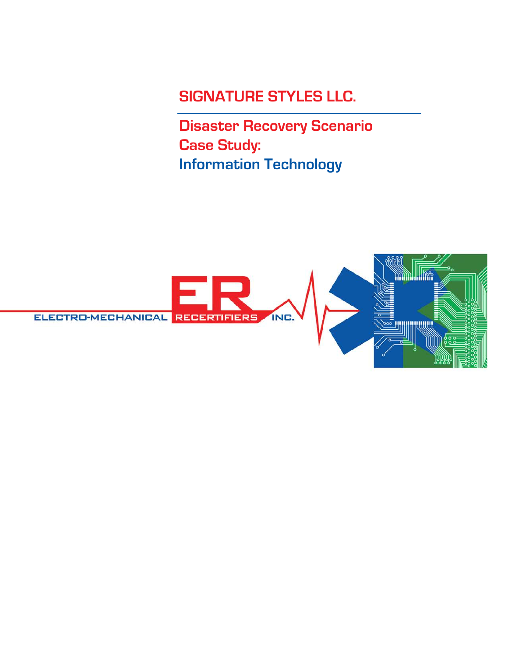## **SIGNATURE STYLES LLC.**

**Disaster Recovery Scenario Case Study: Information Technology**

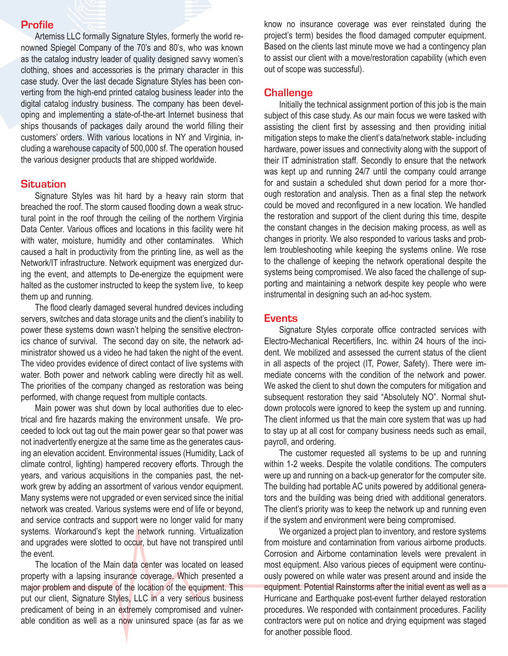#### **Profile**

Artemiss LLC formally Signature Styles, formerly the world renowned Spiegel Company of the 70's and 80's, who was known as the catalog industry leader of quality designed savvy women's clothing, shoes and accessories is the primary character in this case study. Over the last decade Signature Styles has been converting from the high-end printed catalog business leader into the digital catalog industry business. The company has been developing and implementing a state-of-the-art Internet business that ships thousands of packages daily around the world filling their customers' orders. With various locations in NY and Virginia, including a warehouse capacity of 500,000 sf. The operation housed the various designer products that are shipped worldwide.

## **Situation**

Signature Styles was hit hard by a heavy rain storm that breached the roof. The storm caused flooding down a weak structural point in the roof through the ceiling of the northern Virginia Data Center. Various offices and locations in this facility were hit with water, moisture, humidity and other contaminates. Which caused a halt in productivity from the printing line, as well as the Network/IT infrastructure. Network equipment was energized during the event, and attempts to De-energize the equipment were halted as the customer instructed to keep the system live, to keep them up and running.

 The flood clearly damaged several hundred devices including servers, switches and data storage units and the client's inability to power these systems down wasn't helping the sensitive electronics chance of survival. The second day on site, the network administrator showed us a video he had taken the night of the event. The video provides evidence of direct contact of live systems with water. Both power and network cabling were directly hit as well. The priorities of the company changed as restoration was being performed, with change request from multiple contacts.

Main power was shut down by local authorities due to electrical and fire hazards making the environment unsafe. We proceeded to lock out tag out the main power gear so that power was not inadvertently energize at the same time as the generates causing an elevation accident. Environmental issues (Humidity, Lack of climate control, lighting) hampered recovery efforts. Through the years, and various acquisitions in the companies past, the network grew by adding an assortment of various vendor equipment. Many systems were not upgraded or even serviced since the initial network was created. Various systems were end of life or beyond, and service contracts and support were no longer valid for many systems. Workaround's kept the network running. Virtualization and upgrades were slotted to occur, but have not transpired until the event.

The location of the Main data center was located on leased property with a lapsing insurance coverage. Which presented a major problem and dispute of the location of the equipment. This put our client, Signature Styles, LLC in a very serious business predicament of being in an extremely compromised and vulnerable condition as well as a now uninsured space (as far as we know no insurance coverage was ever reinstated during the project's term) besides the flood damaged computer equipment. Based on the clients last minute move we had a contingency plan to assist our client with a move/restoration capability (which even out of scope was successful).

### **Challenge**

Initially the technical assignment portion of this job is the main subject of this case study. As our main focus we were tasked with assisting the client first by assessing and then providing initial mitigation steps to make the client's data/network stable- including hardware, power issues and connectivity along with the support of their IT administration staff. Secondly to ensure that the network was kept up and running 24/7 until the company could arrange for and sustain a scheduled shut down period for a more thorough restoration and analysis. Then as a final step the network could be moved and reconfigured in a new location. We handled the restoration and support of the client during this time, despite the constant changes in the decision making process, as well as changes in priority. We also responded to various tasks and problem troubleshooting while keeping the systems online. We rose to the challenge of keeping the network operational despite the systems being compromised. We also faced the challenge of supporting and maintaining a network despite key people who were instrumental in designing such an ad-hoc system.

#### **Events**

 Signature Styles corporate office contracted services with Electro-Mechanical Recertifiers, Inc. within 24 hours of the incident. We mobilized and assessed the current status of the client in all aspects of the project (IT, Power, Safety). There were immediate concerns with the condition of the network and power. We asked the client to shut down the computers for mitigation and subsequent restoration they said "Absolutely NO". Normal shutdown protocols were ignored to keep the system up and running. The client informed us that the main core system that was up had to stay up at all cost for company business needs such as email, payroll, and ordering.

The customer requested all systems to be up and running within 1-2 weeks. Despite the volatile conditions. The computers were up and running on a back-up generator for the computer site. The building had portable AC units powered by additional generators and the building was being dried with additional generators. The client's priority was to keep the network up and running even if the system and environment were being compromised.

We organized a project plan to inventory, and restore systems from moisture and contamination from various airborne products. Corrosion and Airborne contamination levels were prevalent in most equipment. Also various pieces of equipment were continuously powered on while water was present around and inside the equipment. Potential Rainstorms after the initial event as well as a Hurricane and Earthquake post-event further delayed restoration procedures. We responded with containment procedures. Facility contractors were put on notice and drying equipment was staged for another possible flood.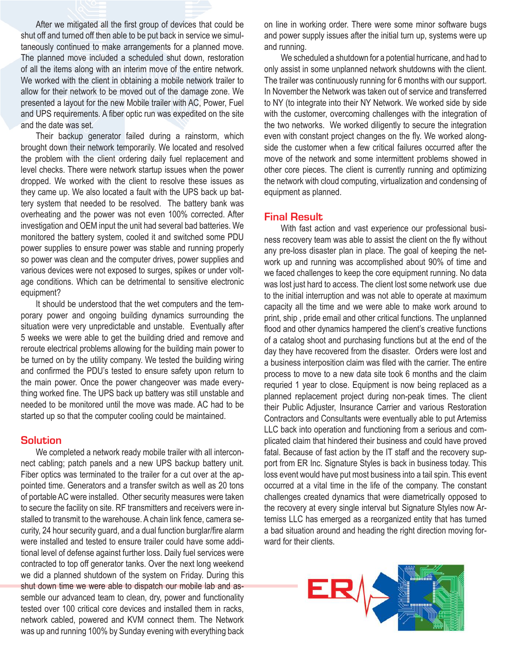After we mitigated all the first group of devices that could be shut off and turned off then able to be put back in service we simultaneously continued to make arrangements for a planned move. The planned move included a scheduled shut down, restoration of all the items along with an interim move of the entire network. We worked with the client in obtaining a mobile network trailer to allow for their network to be moved out of the damage zone. We presented a layout for the new Mobile trailer with AC, Power, Fuel and UPS requirements. A fiber optic run was expedited on the site and the date was set.

Their backup generator failed during a rainstorm, which brought down their network temporarily. We located and resolved the problem with the client ordering daily fuel replacement and level checks. There were network startup issues when the power dropped. We worked with the client to resolve these issues as they came up. We also located a fault with the UPS back up battery system that needed to be resolved. The battery bank was overheating and the power was not even 100% corrected. After investigation and OEM input the unit had several bad batteries. We monitored the battery system, cooled it and switched some PDU power supplies to ensure power was stable and running properly so power was clean and the computer drives, power supplies and various devices were not exposed to surges, spikes or under voltage conditions. Which can be detrimental to sensitive electronic equipment?

It should be understood that the wet computers and the temporary power and ongoing building dynamics surrounding the situation were very unpredictable and unstable. Eventually after 5 weeks we were able to get the building dried and remove and reroute electrical problems allowing for the building main power to be turned on by the utility company. We tested the building wiring and confirmed the PDU's tested to ensure safety upon return to the main power. Once the power changeover was made everything worked fine. The UPS back up battery was still unstable and needed to be monitored until the move was made. AC had to be started up so that the computer cooling could be maintained.

#### **Solution**

We completed a network ready mobile trailer with all interconnect cabling; patch panels and a new UPS backup battery unit. Fiber optics was terminated to the trailer for a cut over at the appointed time. Generators and a transfer switch as well as 20 tons of portable AC were installed. Other security measures were taken to secure the facility on site. RF transmitters and receivers were installed to transmit to the warehouse. A chain link fence, camera security, 24 hour security guard, and a dual function burglar/fire alarm were installed and tested to ensure trailer could have some additional level of defense against further loss. Daily fuel services were contracted to top off generator tanks. Over the next long weekend we did a planned shutdown of the system on Friday. During this shut down time we were able to dispatch our mobile lab and assemble our advanced team to clean, dry, power and functionality tested over 100 critical core devices and installed them in racks, network cabled, powered and KVM connect them. The Network was up and running 100% by Sunday evening with everything back on line in working order. There were some minor software bugs and power supply issues after the initial turn up, systems were up and running.

We scheduled a shutdown for a potential hurricane, and had to only assist in some unplanned network shutdowns with the client. The trailer was continuously running for 6 months with our support. In November the Network was taken out of service and transferred to NY (to integrate into their NY Network. We worked side by side with the customer, overcoming challenges with the integration of the two networks. We worked diligently to secure the integration even with constant project changes on the fly. We worked alongside the customer when a few critical failures occurred after the move of the network and some intermittent problems showed in other core pieces. The client is currently running and optimizing the network with cloud computing, virtualization and condensing of equipment as planned.

#### **Final Result**

With fast action and vast experience our professional business recovery team was able to assist the client on the fly without any pre-loss disaster plan in place. The goal of keeping the network up and running was accomplished about 90% of time and we faced challenges to keep the core equipment running. No data was lost just hard to access. The client lost some network use due to the initial interruption and was not able to operate at maximum capacity all the time and we were able to make work around to print, ship, pride email and other critical functions. The unplanned flood and other dynamics hampered the client's creative functions of a catalog shoot and purchasing functions but at the end of the day they have recovered from the disaster. Orders were lost and a business interposition claim was filed with the carrier. The entire process to move to a new data site took 6 months and the claim requried 1 year to close. Equipment is now being replaced as a planned replacement project during non-peak times. The client their Public Adjuster, Insurance Carrier and various Restoration Contractors and Consultants were eventually able to put Artemiss LLC back into operation and functioning from a serious and complicated claim that hindered their business and could have proved fatal. Because of fast action by the IT staff and the recovery support from ER Inc. Signature Styles is back in business today. This loss event would have put most business into a tail spin. This event occurred at a vital time in the life of the company. The constant challenges created dynamics that were diametrically opposed to the recovery at every single interval but Signature Styles now Artemiss LLC has emerged as a reorganized entity that has turned a bad situation around and heading the right direction moving forward for their clients.